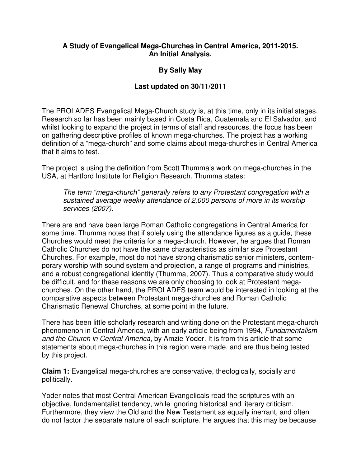## **A Study of Evangelical Mega-Churches in Central America, 2011-2015. An Initial Analysis.**

# **By Sally May**

## **Last updated on 30/11/2011**

The PROLADES Evangelical Mega-Church study is, at this time, only in its initial stages. Research so far has been mainly based in Costa Rica, Guatemala and El Salvador, and whilst looking to expand the project in terms of staff and resources, the focus has been on gathering descriptive profiles of known mega-churches. The project has a working definition of a "mega-church" and some claims about mega-churches in Central America that it aims to test.

The project is using the definition from Scott Thumma's work on mega-churches in the USA, at Hartford Institute for Religion Research. Thumma states:

The term "mega-church" generally refers to any Protestant congregation with a sustained average weekly attendance of 2,000 persons of more in its worship services (2007).

There are and have been large Roman Catholic congregations in Central America for some time. Thumma notes that if solely using the attendance figures as a guide, these Churches would meet the criteria for a mega-church. However, he argues that Roman Catholic Churches do not have the same characteristics as similar size Protestant Churches. For example, most do not have strong charismatic senior ministers, contemporary worship with sound system and projection, a range of programs and ministries, and a robust congregational identity (Thumma, 2007). Thus a comparative study would be difficult, and for these reasons we are only choosing to look at Protestant megachurches. On the other hand, the PROLADES team would be interested in looking at the comparative aspects between Protestant mega-churches and Roman Catholic Charismatic Renewal Churches, at some point in the future.

There has been little scholarly research and writing done on the Protestant mega-church phenomenon in Central America, with an early article being from 1994, Fundamentalism and the Church in Central America, by Amzie Yoder. It is from this article that some statements about mega-churches in this region were made, and are thus being tested by this project.

**Claim 1:** Evangelical mega-churches are conservative, theologically, socially and politically.

Yoder notes that most Central American Evangelicals read the scriptures with an objective, fundamentalist tendency, while ignoring historical and literary criticism. Furthermore, they view the Old and the New Testament as equally inerrant, and often do not factor the separate nature of each scripture. He argues that this may be because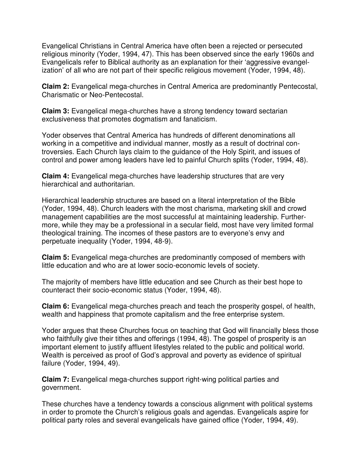Evangelical Christians in Central America have often been a rejected or persecuted religious minority (Yoder, 1994, 47). This has been observed since the early 1960s and Evangelicals refer to Biblical authority as an explanation for their 'aggressive evangelization' of all who are not part of their specific religious movement (Yoder, 1994, 48).

**Claim 2:** Evangelical mega-churches in Central America are predominantly Pentecostal, Charismatic or Neo-Pentecostal.

**Claim 3:** Evangelical mega-churches have a strong tendency toward sectarian exclusiveness that promotes dogmatism and fanaticism.

Yoder observes that Central America has hundreds of different denominations all working in a competitive and individual manner, mostly as a result of doctrinal controversies. Each Church lays claim to the guidance of the Holy Spirit, and issues of control and power among leaders have led to painful Church splits (Yoder, 1994, 48).

**Claim 4:** Evangelical mega-churches have leadership structures that are very hierarchical and authoritarian.

Hierarchical leadership structures are based on a literal interpretation of the Bible (Yoder, 1994, 48). Church leaders with the most charisma, marketing skill and crowd management capabilities are the most successful at maintaining leadership. Furthermore, while they may be a professional in a secular field, most have very limited formal theological training. The incomes of these pastors are to everyone's envy and perpetuate inequality (Yoder, 1994, 48-9).

**Claim 5:** Evangelical mega-churches are predominantly composed of members with little education and who are at lower socio-economic levels of society.

The majority of members have little education and see Church as their best hope to counteract their socio-economic status (Yoder, 1994, 48).

**Claim 6:** Evangelical mega-churches preach and teach the prosperity gospel, of health, wealth and happiness that promote capitalism and the free enterprise system.

Yoder argues that these Churches focus on teaching that God will financially bless those who faithfully give their tithes and offerings (1994, 48). The gospel of prosperity is an important element to justify affluent lifestyles related to the public and political world. Wealth is perceived as proof of God's approval and poverty as evidence of spiritual failure (Yoder, 1994, 49).

**Claim 7:** Evangelical mega-churches support right-wing political parties and government.

These churches have a tendency towards a conscious alignment with political systems in order to promote the Church's religious goals and agendas. Evangelicals aspire for political party roles and several evangelicals have gained office (Yoder, 1994, 49).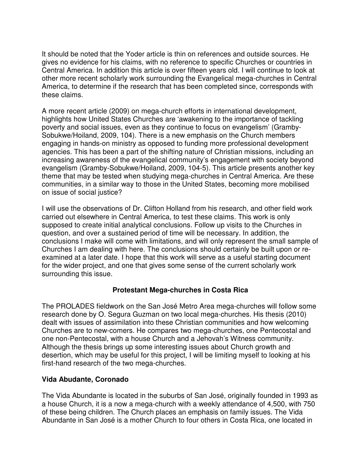It should be noted that the Yoder article is thin on references and outside sources. He gives no evidence for his claims, with no reference to specific Churches or countries in Central America. In addition this article is over fifteen years old. I will continue to look at other more recent scholarly work surrounding the Evangelical mega-churches in Central America, to determine if the research that has been completed since, corresponds with these claims.

A more recent article (2009) on mega-church efforts in international development, highlights how United States Churches are 'awakening to the importance of tackling poverty and social issues, even as they continue to focus on evangelism' (Gramby-Sobukwe/Hoiland, 2009, 104). There is a new emphasis on the Church members engaging in hands-on ministry as opposed to funding more professional development agencies. This has been a part of the shifting nature of Christian missions, including an increasing awareness of the evangelical community's engagement with society beyond evangelism (Gramby-Sobukwe/Hoiland, 2009, 104-5). This article presents another key theme that may be tested when studying mega-churches in Central America. Are these communities, in a similar way to those in the United States, becoming more mobilised on issue of social justice?

I will use the observations of Dr. Clifton Holland from his research, and other field work carried out elsewhere in Central America, to test these claims. This work is only supposed to create initial analytical conclusions. Follow up visits to the Churches in question, and over a sustained period of time will be necessary. In addition, the conclusions I make will come with limitations, and will only represent the small sample of Churches I am dealing with here. The conclusions should certainly be built upon or reexamined at a later date. I hope that this work will serve as a useful starting document for the wider project, and one that gives some sense of the current scholarly work surrounding this issue.

# **Protestant Mega-churches in Costa Rica**

The PROLADES fieldwork on the San José Metro Area mega-churches will follow some research done by O. Segura Guzman on two local mega-churches. His thesis (2010) dealt with issues of assimilation into these Christian communities and how welcoming Churches are to new-comers. He compares two mega-churches, one Pentecostal and one non-Pentecostal, with a house Church and a Jehovah's Witness community. Although the thesis brings up some interesting issues about Church growth and desertion, which may be useful for this project, I will be limiting myself to looking at his first-hand research of the two mega-churches.

# **Vida Abudante, Coronado**

The Vida Abundante is located in the suburbs of San José, originally founded in 1993 as a house Church, it is a now a mega-church with a weekly attendance of 4,500, with 750 of these being children. The Church places an emphasis on family issues. The Vida Abundante in San José is a mother Church to four others in Costa Rica, one located in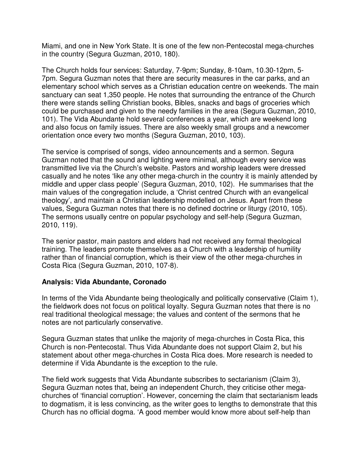Miami, and one in New York State. It is one of the few non-Pentecostal mega-churches in the country (Segura Guzman, 2010, 180).

The Church holds four services: Saturday, 7-9pm; Sunday, 8-10am, 10.30-12pm, 5- 7pm. Segura Guzman notes that there are security measures in the car parks, and an elementary school which serves as a Christian education centre on weekends. The main sanctuary can seat 1,350 people. He notes that surrounding the entrance of the Church there were stands selling Christian books, Bibles, snacks and bags of groceries which could be purchased and given to the needy families in the area (Segura Guzman, 2010, 101). The Vida Abundante hold several conferences a year, which are weekend long and also focus on family issues. There are also weekly small groups and a newcomer orientation once every two months (Segura Guzman, 2010, 103).

The service is comprised of songs, video announcements and a sermon. Segura Guzman noted that the sound and lighting were minimal, although every service was transmitted live via the Church's website. Pastors and worship leaders were dressed casually and he notes 'like any other mega-church in the country it is mainly attended by middle and upper class people' (Segura Guzman, 2010, 102). He summarises that the main values of the congregation include, a 'Christ centred Church with an evangelical theology', and maintain a Christian leadership modelled on Jesus. Apart from these values, Segura Guzman notes that there is no defined doctrine or liturgy (2010, 105). The sermons usually centre on popular psychology and self-help (Segura Guzman, 2010, 119).

The senior pastor, main pastors and elders had not received any formal theological training. The leaders promote themselves as a Church with a leadership of humility rather than of financial corruption, which is their view of the other mega-churches in Costa Rica (Segura Guzman, 2010, 107-8).

# **Analysis: Vida Abundante, Coronado**

In terms of the Vida Abundante being theologically and politically conservative (Claim 1), the fieldwork does not focus on political loyalty. Segura Guzman notes that there is no real traditional theological message; the values and content of the sermons that he notes are not particularly conservative.

Segura Guzman states that unlike the majority of mega-churches in Costa Rica, this Church is non-Pentecostal. Thus Vida Abundante does not support Claim 2, but his statement about other mega-churches in Costa Rica does. More research is needed to determine if Vida Abundante is the exception to the rule.

The field work suggests that Vida Abundante subscribes to sectarianism (Claim 3), Segura Guzman notes that, being an independent Church, they criticise other megachurches of 'financial corruption'. However, concerning the claim that sectarianism leads to dogmatism, it is less convincing, as the writer goes to lengths to demonstrate that this Church has no official dogma. 'A good member would know more about self-help than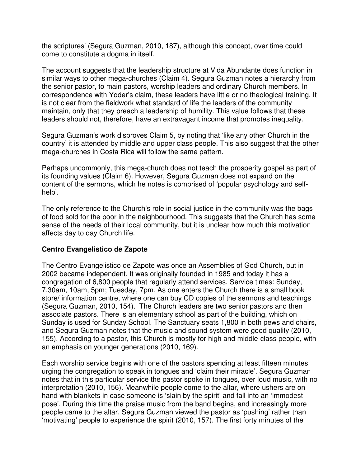the scriptures' (Segura Guzman, 2010, 187), although this concept, over time could come to constitute a dogma in itself.

The account suggests that the leadership structure at Vida Abundante does function in similar ways to other mega-churches (Claim 4). Segura Guzman notes a hierarchy from the senior pastor, to main pastors, worship leaders and ordinary Church members. In correspondence with Yoder's claim, these leaders have little or no theological training. It is not clear from the fieldwork what standard of life the leaders of the community maintain, only that they preach a leadership of humility. This value follows that these leaders should not, therefore, have an extravagant income that promotes inequality.

Segura Guzman's work disproves Claim 5, by noting that 'like any other Church in the country' it is attended by middle and upper class people. This also suggest that the other mega-churches in Costa Rica will follow the same pattern.

Perhaps uncommonly, this mega-church does not teach the prosperity gospel as part of its founding values (Claim 6). However, Segura Guzman does not expand on the content of the sermons, which he notes is comprised of 'popular psychology and selfhelp'.

The only reference to the Church's role in social justice in the community was the bags of food sold for the poor in the neighbourhood. This suggests that the Church has some sense of the needs of their local community, but it is unclear how much this motivation affects day to day Church life.

# **Centro Evangelistico de Zapote**

The Centro Evangelistico de Zapote was once an Assemblies of God Church, but in 2002 became independent. It was originally founded in 1985 and today it has a congregation of 6,800 people that regularly attend services. Service times: Sunday, 7.30am, 10am, 5pm; Tuesday, 7pm. As one enters the Church there is a small book store/ information centre, where one can buy CD copies of the sermons and teachings (Segura Guzman, 2010, 154). The Church leaders are two senior pastors and then associate pastors. There is an elementary school as part of the building, which on Sunday is used for Sunday School. The Sanctuary seats 1,800 in both pews and chairs, and Segura Guzman notes that the music and sound system were good quality (2010, 155). According to a pastor, this Church is mostly for high and middle-class people, with an emphasis on younger generations (2010, 169).

Each worship service begins with one of the pastors spending at least fifteen minutes urging the congregation to speak in tongues and 'claim their miracle'. Segura Guzman notes that in this particular service the pastor spoke in tongues, over loud music, with no interpretation (2010, 156). Meanwhile people come to the altar, where ushers are on hand with blankets in case someone is 'slain by the spirit' and fall into an 'immodest pose'. During this time the praise music from the band begins, and increasingly more people came to the altar. Segura Guzman viewed the pastor as 'pushing' rather than 'motivating' people to experience the spirit (2010, 157). The first forty minutes of the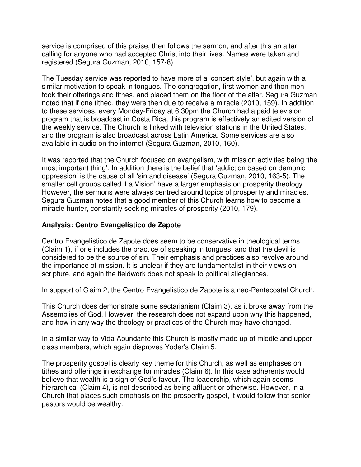service is comprised of this praise, then follows the sermon, and after this an altar calling for anyone who had accepted Christ into their lives. Names were taken and registered (Segura Guzman, 2010, 157-8).

The Tuesday service was reported to have more of a 'concert style', but again with a similar motivation to speak in tongues. The congregation, first women and then men took their offerings and tithes, and placed them on the floor of the altar. Segura Guzman noted that if one tithed, they were then due to receive a miracle (2010, 159). In addition to these services, every Monday-Friday at 6.30pm the Church had a paid television program that is broadcast in Costa Rica, this program is effectively an edited version of the weekly service. The Church is linked with television stations in the United States, and the program is also broadcast across Latin America. Some services are also available in audio on the internet (Segura Guzman, 2010, 160).

It was reported that the Church focused on evangelism, with mission activities being 'the most important thing'. In addition there is the belief that 'addiction based on demonic oppression' is the cause of all 'sin and disease' (Segura Guzman, 2010, 163-5). The smaller cell groups called 'La Vision' have a larger emphasis on prosperity theology. However, the sermons were always centred around topics of prosperity and miracles. Segura Guzman notes that a good member of this Church learns how to become a miracle hunter, constantly seeking miracles of prosperity (2010, 179).

# **Analysis: Centro Evangelístico de Zapote**

Centro Evangelístico de Zapote does seem to be conservative in theological terms (Claim 1), if one includes the practice of speaking in tongues, and that the devil is considered to be the source of sin. Their emphasis and practices also revolve around the importance of mission. It is unclear if they are fundamentalist in their views on scripture, and again the fieldwork does not speak to political allegiances.

In support of Claim 2, the Centro Evangelístico de Zapote is a neo-Pentecostal Church.

This Church does demonstrate some sectarianism (Claim 3), as it broke away from the Assemblies of God. However, the research does not expand upon why this happened, and how in any way the theology or practices of the Church may have changed.

In a similar way to Vida Abundante this Church is mostly made up of middle and upper class members, which again disproves Yoder's Claim 5.

The prosperity gospel is clearly key theme for this Church, as well as emphases on tithes and offerings in exchange for miracles (Claim 6). In this case adherents would believe that wealth is a sign of God's favour. The leadership, which again seems hierarchical (Claim 4), is not described as being affluent or otherwise. However, in a Church that places such emphasis on the prosperity gospel, it would follow that senior pastors would be wealthy.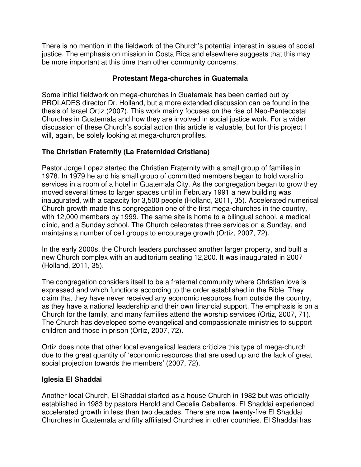There is no mention in the fieldwork of the Church's potential interest in issues of social justice. The emphasis on mission in Costa Rica and elsewhere suggests that this may be more important at this time than other community concerns.

# **Protestant Mega-churches in Guatemala**

Some initial fieldwork on mega-churches in Guatemala has been carried out by PROLADES director Dr. Holland, but a more extended discussion can be found in the thesis of Israel Ortiz (2007). This work mainly focuses on the rise of Neo-Pentecostal Churches in Guatemala and how they are involved in social justice work. For a wider discussion of these Church's social action this article is valuable, but for this project I will, again, be solely looking at mega-church profiles.

# **The Christian Fraternity (La Fraternidad Cristiana)**

Pastor Jorge Lopez started the Christian Fraternity with a small group of families in 1978. In 1979 he and his small group of committed members began to hold worship services in a room of a hotel in Guatemala City. As the congregation began to grow they moved several times to larger spaces until in February 1991 a new building was inaugurated, with a capacity for 3,500 people (Holland, 2011, 35). Accelerated numerical Church growth made this congregation one of the first mega-churches in the country, with 12,000 members by 1999. The same site is home to a bilingual school, a medical clinic, and a Sunday school. The Church celebrates three services on a Sunday, and maintains a number of cell groups to encourage growth (Ortiz, 2007, 72).

In the early 2000s, the Church leaders purchased another larger property, and built a new Church complex with an auditorium seating 12,200. It was inaugurated in 2007 (Holland, 2011, 35).

The congregation considers itself to be a fraternal community where Christian love is expressed and which functions according to the order established in the Bible. They claim that they have never received any economic resources from outside the country, as they have a national leadership and their own financial support. The emphasis is on a Church for the family, and many families attend the worship services (Ortiz, 2007, 71). The Church has developed some evangelical and compassionate ministries to support children and those in prison (Ortiz, 2007, 72).

Ortiz does note that other local evangelical leaders criticize this type of mega-church due to the great quantity of 'economic resources that are used up and the lack of great social projection towards the members' (2007, 72).

# **Iglesia El Shaddai**

Another local Church, El Shaddai started as a house Church in 1982 but was officially established in 1983 by pastors Harold and Cecelia Caballeros. El Shaddai experienced accelerated growth in less than two decades. There are now twenty-five El Shaddai Churches in Guatemala and fifty affiliated Churches in other countries. El Shaddai has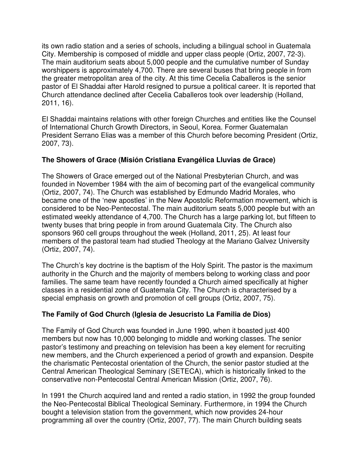its own radio station and a series of schools, including a bilingual school in Guatemala City. Membership is composed of middle and upper class people (Ortiz, 2007, 72-3). The main auditorium seats about 5,000 people and the cumulative number of Sunday worshippers is approximately 4,700. There are several buses that bring people in from the greater metropolitan area of the city. At this time Cecelia Caballeros is the senior pastor of El Shaddai after Harold resigned to pursue a political career. It is reported that Church attendance declined after Cecelia Caballeros took over leadership (Holland, 2011, 16).

El Shaddai maintains relations with other foreign Churches and entities like the Counsel of International Church Growth Directors, in Seoul, Korea. Former Guatemalan President Serrano Elias was a member of this Church before becoming President (Ortiz, 2007, 73).

# **The Showers of Grace (Misión Cristiana Evangélica Lluvias de Grace)**

The Showers of Grace emerged out of the National Presbyterian Church, and was founded in November 1984 with the aim of becoming part of the evangelical community (Ortiz, 2007, 74). The Church was established by Edmundo Madrid Morales, who became one of the 'new apostles' in the New Apostolic Reformation movement, which is considered to be Neo-Pentecostal. The main auditorium seats 5,000 people but with an estimated weekly attendance of 4,700. The Church has a large parking lot, but fifteen to twenty buses that bring people in from around Guatemala City. The Church also sponsors 960 cell groups throughout the week (Holland, 2011, 25). At least four members of the pastoral team had studied Theology at the Mariano Galvez University (Ortiz, 2007, 74).

The Church's key doctrine is the baptism of the Holy Spirit. The pastor is the maximum authority in the Church and the majority of members belong to working class and poor families. The same team have recently founded a Church aimed specifically at higher classes in a residential zone of Guatemala City. The Church is characterised by a special emphasis on growth and promotion of cell groups (Ortiz, 2007, 75).

# **The Family of God Church (Iglesia de Jesucristo La Familia de Dios)**

The Family of God Church was founded in June 1990, when it boasted just 400 members but now has 10,000 belonging to middle and working classes. The senior pastor's testimony and preaching on television has been a key element for recruiting new members, and the Church experienced a period of growth and expansion. Despite the charismatic Pentecostal orientation of the Church, the senior pastor studied at the Central American Theological Seminary (SETECA), which is historically linked to the conservative non-Pentecostal Central American Mission (Ortiz, 2007, 76).

In 1991 the Church acquired land and rented a radio station, in 1992 the group founded the Neo-Pentecostal Biblical Theological Seminary. Furthermore, in 1994 the Church bought a television station from the government, which now provides 24-hour programming all over the country (Ortiz, 2007, 77). The main Church building seats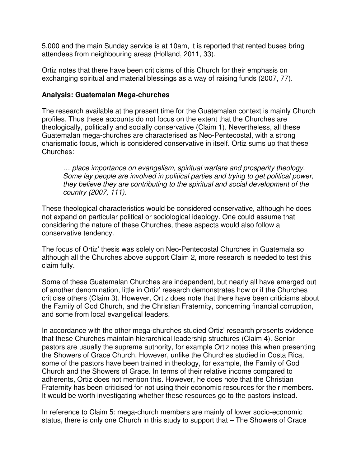5,000 and the main Sunday service is at 10am, it is reported that rented buses bring attendees from neighbouring areas (Holland, 2011, 33).

Ortiz notes that there have been criticisms of this Church for their emphasis on exchanging spiritual and material blessings as a way of raising funds (2007, 77).

## **Analysis: Guatemalan Mega-churches**

The research available at the present time for the Guatemalan context is mainly Church profiles. Thus these accounts do not focus on the extent that the Churches are theologically, politically and socially conservative (Claim 1). Nevertheless, all these Guatemalan mega-churches are characterised as Neo-Pentecostal, with a strong charismatic focus, which is considered conservative in itself. Ortiz sums up that these Churches:

… place importance on evangelism, spiritual warfare and prosperity theology. Some lay people are involved in political parties and trying to get political power, they believe they are contributing to the spiritual and social development of the country (2007, 111).

These theological characteristics would be considered conservative, although he does not expand on particular political or sociological ideology. One could assume that considering the nature of these Churches, these aspects would also follow a conservative tendency.

The focus of Ortiz' thesis was solely on Neo-Pentecostal Churches in Guatemala so although all the Churches above support Claim 2, more research is needed to test this claim fully.

Some of these Guatemalan Churches are independent, but nearly all have emerged out of another denomination, little in Ortiz' research demonstrates how or if the Churches criticise others (Claim 3). However, Ortiz does note that there have been criticisms about the Family of God Church, and the Christian Fraternity, concerning financial corruption, and some from local evangelical leaders.

In accordance with the other mega-churches studied Ortiz' research presents evidence that these Churches maintain hierarchical leadership structures (Claim 4). Senior pastors are usually the supreme authority, for example Ortiz notes this when presenting the Showers of Grace Church. However, unlike the Churches studied in Costa Rica, some of the pastors have been trained in theology, for example, the Family of God Church and the Showers of Grace. In terms of their relative income compared to adherents, Ortiz does not mention this. However, he does note that the Christian Fraternity has been criticised for not using their economic resources for their members. It would be worth investigating whether these resources go to the pastors instead.

In reference to Claim 5: mega-church members are mainly of lower socio-economic status, there is only one Church in this study to support that – The Showers of Grace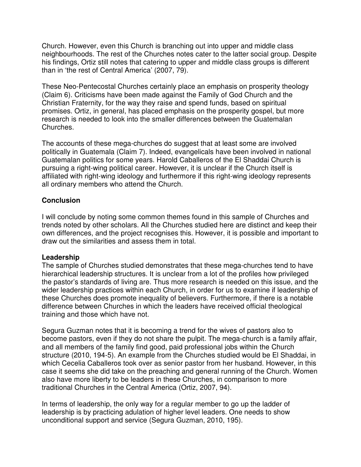Church. However, even this Church is branching out into upper and middle class neighbourhoods. The rest of the Churches notes cater to the latter social group. Despite his findings, Ortiz still notes that catering to upper and middle class groups is different than in 'the rest of Central America' (2007, 79).

These Neo-Pentecostal Churches certainly place an emphasis on prosperity theology (Claim 6). Criticisms have been made against the Family of God Church and the Christian Fraternity, for the way they raise and spend funds, based on spiritual promises. Ortiz, in general, has placed emphasis on the prosperity gospel, but more research is needed to look into the smaller differences between the Guatemalan Churches.

The accounts of these mega-churches do suggest that at least some are involved politically in Guatemala (Claim 7). Indeed, evangelicals have been involved in national Guatemalan politics for some years. Harold Caballeros of the El Shaddai Church is pursuing a right-wing political career. However, it is unclear if the Church itself is affiliated with right-wing ideology and furthermore if this right-wing ideology represents all ordinary members who attend the Church.

## **Conclusion**

I will conclude by noting some common themes found in this sample of Churches and trends noted by other scholars. All the Churches studied here are distinct and keep their own differences, and the project recognises this. However, it is possible and important to draw out the similarities and assess them in total.

### **Leadership**

The sample of Churches studied demonstrates that these mega-churches tend to have hierarchical leadership structures. It is unclear from a lot of the profiles how privileged the pastor's standards of living are. Thus more research is needed on this issue, and the wider leadership practices within each Church, in order for us to examine if leadership of these Churches does promote inequality of believers. Furthermore, if there is a notable difference between Churches in which the leaders have received official theological training and those which have not.

Segura Guzman notes that it is becoming a trend for the wives of pastors also to become pastors, even if they do not share the pulpit. The mega-church is a family affair, and all members of the family find good, paid professional jobs within the Church structure (2010, 194-5). An example from the Churches studied would be El Shaddai, in which Cecelia Caballeros took over as senior pastor from her husband. However, in this case it seems she did take on the preaching and general running of the Church. Women also have more liberty to be leaders in these Churches, in comparison to more traditional Churches in the Central America (Ortiz, 2007, 94).

In terms of leadership, the only way for a regular member to go up the ladder of leadership is by practicing adulation of higher level leaders. One needs to show unconditional support and service (Segura Guzman, 2010, 195).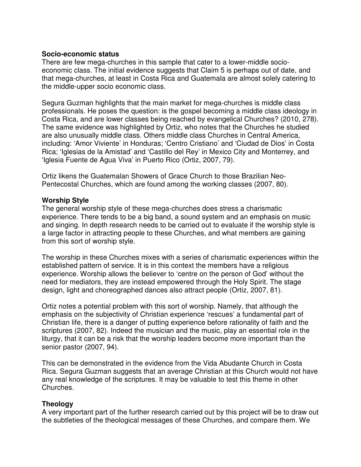#### **Socio-economic status**

There are few mega-churches in this sample that cater to a lower-middle socioeconomic class. The initial evidence suggests that Claim 5 is perhaps out of date, and that mega-churches, at least in Costa Rica and Guatemala are almost solely catering to the middle-upper socio economic class.

Segura Guzman highlights that the main market for mega-churches is middle class professionals. He poses the question: is the gospel becoming a middle class ideology in Costa Rica, and are lower classes being reached by evangelical Churches? (2010, 278). The same evidence was highlighted by Ortiz, who notes that the Churches he studied are also unusually middle class. Others middle class Churches in Central America, including: 'Amor Viviente' in Honduras; 'Centro Cristiano' and 'Ciudad de Dios' in Costa Rica; 'Iglesias de la Amistad' and 'Castillo del Rey' in Mexico City and Monterrey, and 'Iglesia Fuente de Agua Viva' in Puerto Rico (Ortiz, 2007, 79).

Ortiz likens the Guatemalan Showers of Grace Church to those Brazilian Neo-Pentecostal Churches, which are found among the working classes (2007, 80).

#### **Worship Style**

The general worship style of these mega-churches does stress a charismatic experience. There tends to be a big band, a sound system and an emphasis on music and singing. In depth research needs to be carried out to evaluate if the worship style is a large factor in attracting people to these Churches, and what members are gaining from this sort of worship style.

The worship in these Churches mixes with a series of charismatic experiences within the established pattern of service. It is in this context the members have a religious experience. Worship allows the believer to 'centre on the person of God' without the need for mediators, they are instead empowered through the Holy Spirit. The stage design, light and choreographed dances also attract people (Ortiz, 2007, 81).

Ortiz notes a potential problem with this sort of worship. Namely, that although the emphasis on the subjectivity of Christian experience 'rescues' a fundamental part of Christian life, there is a danger of putting experience before rationality of faith and the scriptures (2007, 82). Indeed the musician and the music, play an essential role in the liturgy, that it can be a risk that the worship leaders become more important than the senior pastor (2007, 94).

This can be demonstrated in the evidence from the Vida Abudante Church in Costa Rica. Segura Guzman suggests that an average Christian at this Church would not have any real knowledge of the scriptures. It may be valuable to test this theme in other Churches.

### **Theology**

A very important part of the further research carried out by this project will be to draw out the subtleties of the theological messages of these Churches, and compare them. We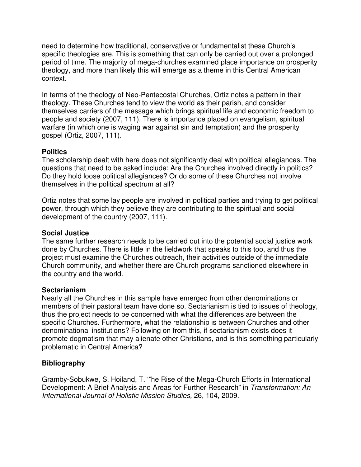need to determine how traditional, conservative or fundamentalist these Church's specific theologies are. This is something that can only be carried out over a prolonged period of time. The majority of mega-churches examined place importance on prosperity theology, and more than likely this will emerge as a theme in this Central American context.

In terms of the theology of Neo-Pentecostal Churches, Ortiz notes a pattern in their theology. These Churches tend to view the world as their parish, and consider themselves carriers of the message which brings spiritual life and economic freedom to people and society (2007, 111). There is importance placed on evangelism, spiritual warfare (in which one is waging war against sin and temptation) and the prosperity gospel (Ortiz, 2007, 111).

## **Politics**

The scholarship dealt with here does not significantly deal with political allegiances. The questions that need to be asked include: Are the Churches involved directly in politics? Do they hold loose political allegiances? Or do some of these Churches not involve themselves in the political spectrum at all?

Ortiz notes that some lay people are involved in political parties and trying to get political power, through which they believe they are contributing to the spiritual and social development of the country (2007, 111).

### **Social Justice**

The same further research needs to be carried out into the potential social justice work done by Churches. There is little in the fieldwork that speaks to this too, and thus the project must examine the Churches outreach, their activities outside of the immediate Church community, and whether there are Church programs sanctioned elsewhere in the country and the world.

### **Sectarianism**

Nearly all the Churches in this sample have emerged from other denominations or members of their pastoral team have done so. Sectarianism is tied to issues of theology, thus the project needs to be concerned with what the differences are between the specific Churches. Furthermore, what the relationship is between Churches and other denominational institutions? Following on from this, if sectarianism exists does it promote dogmatism that may alienate other Christians, and is this something particularly problematic in Central America?

### **Bibliography**

Gramby-Sobukwe, S. Hoiland, T. '"he Rise of the Mega-Church Efforts in International Development: A Brief Analysis and Areas for Further Research" in Transformation: An International Journal of Holistic Mission Studies, 26, 104, 2009.